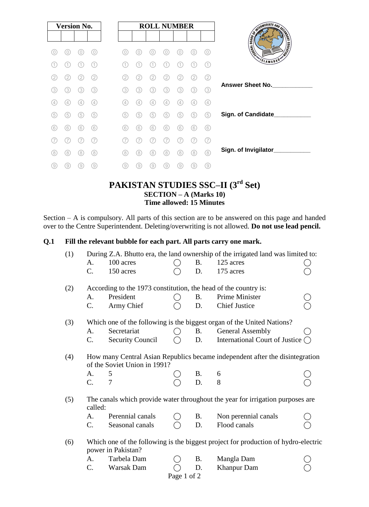| <b>Version No.</b> |                |     |     |
|--------------------|----------------|-----|-----|
|                    |                |     |     |
| 0                  | 0)             |     |     |
| 1.                 | $\overline{1}$ | 1.  | (1) |
| 2.                 | 2)             | 2   | (2) |
| (3)                | 3)             | 3)  | (3) |
| 4                  | 4              | 4   | (4) |
| (5)                | 5              | 5   | (5) |
| (6)                | (6)            | (6) | (6) |
|                    |                |     |     |
| (8)                | (8)            | 8   | (8) |
| 9)                 | (9)            | 9   | 9   |

# **PAKISTAN STUDIES SSC–II (3 rd Set) SECTION – A (Marks 10) Time allowed: 15 Minutes**

Section – A is compulsory. All parts of this section are to be answered on this page and handed over to the Centre Superintendent. Deleting/overwriting is not allowed. **Do not use lead pencil.**

#### **Q.1 Fill the relevant bubble for each part. All parts carry one mark.**

| (1)         | During Z.A. Bhutto era, the land ownership of the irrigated land was limited to:                             |                         |                    |            |                                          |  |  |
|-------------|--------------------------------------------------------------------------------------------------------------|-------------------------|--------------------|------------|------------------------------------------|--|--|
|             | A.                                                                                                           | 100 acres               |                    | <b>B.</b>  | 125 acres                                |  |  |
|             | C.                                                                                                           | 150 acres               |                    | D.         | 175 acres                                |  |  |
| (2)         | According to the 1973 constitution, the head of the country is:                                              |                         |                    |            |                                          |  |  |
|             | A.                                                                                                           | President               |                    | <b>B</b> . | Prime Minister                           |  |  |
|             | C.                                                                                                           | Army Chief              |                    | D.         | <b>Chief Justice</b>                     |  |  |
| (3)         | Which one of the following is the biggest organ of the United Nations?                                       |                         |                    |            |                                          |  |  |
|             | А.                                                                                                           | Secretariat             | $\left( \ \right)$ | <b>B.</b>  | <b>General Assembly</b>                  |  |  |
|             | $C_{\cdot}$                                                                                                  | <b>Security Council</b> | $\bigcap$          | D.         | International Court of Justice $\bigcap$ |  |  |
| (4)         | How many Central Asian Republics became independent after the disintegration<br>of the Soviet Union in 1991? |                         |                    |            |                                          |  |  |
|             | A.                                                                                                           | 5                       |                    |            | 6                                        |  |  |
|             | $\mathcal{C}$ .                                                                                              | 7                       |                    | B.<br>D.   | 8                                        |  |  |
| (5)         | The canals which provide water throughout the year for irrigation purposes are<br>called:                    |                         |                    |            |                                          |  |  |
|             | A.                                                                                                           | Perennial canals        |                    | <b>B</b> . | Non perennial canals                     |  |  |
|             | $C_{\cdot}$                                                                                                  | Seasonal canals         |                    | D.         | Flood canals                             |  |  |
| (6)         | Which one of the following is the biggest project for production of hydro-electric<br>power in Pakistan?     |                         |                    |            |                                          |  |  |
|             | A.                                                                                                           | Tarbela Dam             |                    | <b>B</b> . | Mangla Dam                               |  |  |
|             | $C_{\cdot}$                                                                                                  | Warsak Dam              |                    | D.         | <b>Khanpur Dam</b>                       |  |  |
| Page 1 of 2 |                                                                                                              |                         |                    |            |                                          |  |  |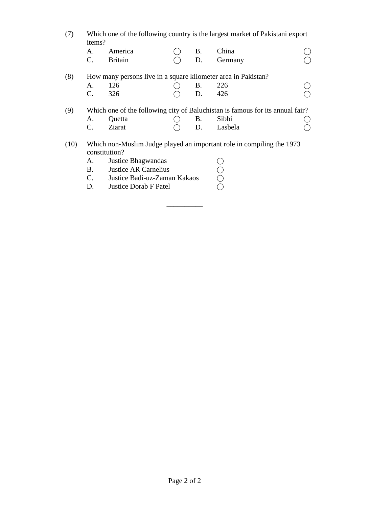(7) Which one of the following country is the largest market of Pakistani export items?

|      | A.<br>$\mathbf{C}$ .                                                                   | America<br><b>Britain</b>                                     |  | B.<br>D. | China<br>Germany                                                              |  |  |  |  |
|------|----------------------------------------------------------------------------------------|---------------------------------------------------------------|--|----------|-------------------------------------------------------------------------------|--|--|--|--|
| (8)  |                                                                                        | How many persons live in a square kilometer area in Pakistan? |  |          |                                                                               |  |  |  |  |
|      | A.                                                                                     | 126                                                           |  | В.       | 226                                                                           |  |  |  |  |
|      | C.                                                                                     | 326                                                           |  | D.       | 426                                                                           |  |  |  |  |
| (9)  |                                                                                        |                                                               |  |          | Which one of the following city of Baluchistan is famous for its annual fair? |  |  |  |  |
|      | A.                                                                                     | Quetta                                                        |  | В.       | Sibbi                                                                         |  |  |  |  |
|      | C.                                                                                     | Ziarat                                                        |  | D.       | Lasbela                                                                       |  |  |  |  |
| (10) | Which non-Muslim Judge played an important role in compiling the 1973<br>constitution? |                                                               |  |          |                                                                               |  |  |  |  |
|      | A.                                                                                     | <b>Justice Bhagwandas</b>                                     |  |          |                                                                               |  |  |  |  |
|      | B.                                                                                     | <b>Justice AR Carnelius</b>                                   |  |          |                                                                               |  |  |  |  |
|      | C.                                                                                     | Justice Badi-uz-Zaman Kakaos                                  |  |          |                                                                               |  |  |  |  |
|      | D.                                                                                     | <b>Justice Dorab F Patel</b>                                  |  |          |                                                                               |  |  |  |  |
|      |                                                                                        |                                                               |  |          |                                                                               |  |  |  |  |

\_\_\_\_\_\_\_\_\_\_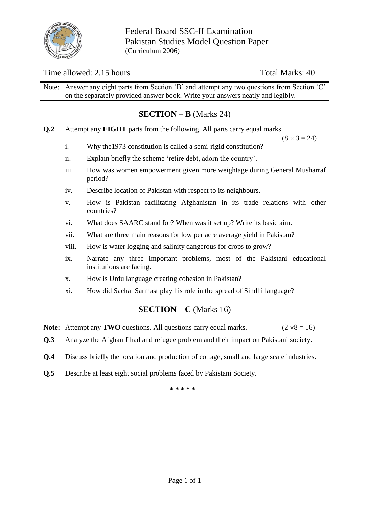

Federal Board SSC-II Examination Pakistan Studies Model Question Paper (Curriculum 2006)

# Time allowed: 2.15 hours Total Marks: 40

Note: Answer any eight parts from Section 'B' and attempt any two questions from Section 'C' on the separately provided answer book. Write your answers neatly and legibly.

#### **SECTION – B** (Marks 24)

**Q.2** Attempt any **EIGHT** parts from the following. All parts carry equal marks.

 $(8 \times 3 = 24)$ 

- i. Why the1973 constitution is called a semi-rigid constitution?
- ii. Explain briefly the scheme 'retire debt, adorn the country'.
- iii. How was women empowerment given more weightage during General Musharraf period?
- iv. Describe location of Pakistan with respect to its neighbours.
- v. How is Pakistan facilitating Afghanistan in its trade relations with other countries?
- vi. What does SAARC stand for? When was it set up? Write its basic aim.
- vii. What are three main reasons for low per acre average yield in Pakistan?
- viii. How is water logging and salinity dangerous for crops to grow?
- ix. Narrate any three important problems, most of the Pakistani educational institutions are facing.
- x. How is Urdu language creating cohesion in Pakistan?
- xi. How did Sachal Sarmast play his role in the spread of Sindhi language?

#### **SECTION – C** (Marks 16)

- **Note:** Attempt any **TWO** questions. All questions carry equal marks.  $(2 \times 8 = 16)$
- **Q.3** Analyze the Afghan Jihad and refugee problem and their impact on Pakistani society.
- **Q.4** Discuss briefly the location and production of cottage, small and large scale industries.
- **Q.5** Describe at least eight social problems faced by Pakistani Society.

**\* \* \* \* \***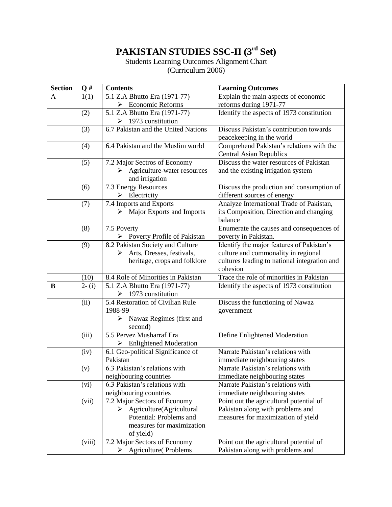# **PAKISTAN STUDIES SSC-II (3 rd Set)**

Students Learning Outcomes Alignment Chart

(Curriculum 2006)

| <b>Section</b> | $\mathbf{Q}$ # | <b>Contents</b>                                                      | <b>Learning Outcomes</b>                                         |  |  |
|----------------|----------------|----------------------------------------------------------------------|------------------------------------------------------------------|--|--|
| A              | 1(1)           | 5.1 Z.A Bhutto Era (1971-77)                                         | Explain the main aspects of economic                             |  |  |
|                |                | $\triangleright$ Economic Reforms                                    | reforms during 1971-77                                           |  |  |
|                | (2)            | 5.1 Z.A Bhutto Era (1971-77)                                         | Identify the aspects of 1973 constitution                        |  |  |
|                |                | $\triangleright$ 1973 constitution                                   |                                                                  |  |  |
|                | (3)            | 6.7 Pakistan and the United Nations                                  | Discuss Pakistan's contribution towards                          |  |  |
|                |                |                                                                      | peacekeeping in the world                                        |  |  |
|                | (4)            | 6.4 Pakistan and the Muslim world                                    | Comprehend Pakistan's relations with the                         |  |  |
|                |                |                                                                      | <b>Central Asian Republics</b>                                   |  |  |
|                | (5)            | 7.2 Major Sectros of Economy                                         | Discuss the water resources of Pakistan                          |  |  |
|                |                | $\triangleright$ Agriculture-water resources                         | and the existing irrigation system                               |  |  |
|                |                | and irrigation                                                       |                                                                  |  |  |
|                | (6)            | 7.3 Energy Resources                                                 | Discuss the production and consumption of                        |  |  |
|                |                | $\triangleright$ Electricity                                         | different sources of energy                                      |  |  |
|                | (7)            | 7.4 Imports and Exports                                              | Analyze International Trade of Pakistan,                         |  |  |
|                |                | Major Exports and Imports<br>≻                                       | its Composition, Direction and changing<br>balance               |  |  |
|                | (8)            | 7.5 Poverty                                                          |                                                                  |  |  |
|                |                | $\triangleright$ Poverty Profile of Pakistan                         | Enumerate the causes and consequences of<br>poverty in Pakistan. |  |  |
|                | (9)            | 8.2 Pakistan Society and Culture                                     | Identify the major features of Pakistan's                        |  |  |
|                |                | Arts, Dresses, festivals,<br>⋗                                       | culture and commonality in regional                              |  |  |
|                |                | heritage, crops and folklore                                         | cultures leading to national integration and                     |  |  |
|                |                |                                                                      | cohesion                                                         |  |  |
|                | (10)           | 8.4 Role of Minorities in Pakistan                                   | Trace the role of minorities in Pakistan                         |  |  |
| B              | $2-(i)$        | 5.1 Z.A Bhutto Era (1971-77)                                         | Identify the aspects of 1973 constitution                        |  |  |
|                |                | $\triangleright$ 1973 constitution                                   |                                                                  |  |  |
|                | (ii)           | 5.4 Restoration of Civilian Rule                                     | Discuss the functioning of Nawaz                                 |  |  |
|                | 1988-99        |                                                                      | government                                                       |  |  |
|                |                | Nawaz Regimes (first and<br>➤                                        |                                                                  |  |  |
|                |                | second)                                                              |                                                                  |  |  |
|                | (iii)          | 5.5 Pervez Musharraf Era                                             | Define Enlightened Moderation                                    |  |  |
|                |                | $\triangleright$ Enlightened Moderation                              |                                                                  |  |  |
|                | (iv)           | 6.1 Geo-political Significance of                                    | Narrate Pakistan's relations with                                |  |  |
|                |                | Pakistan                                                             | immediate neighbouring states                                    |  |  |
|                | (v)            | 6.3 Pakistan's relations with                                        | Narrate Pakistan's relations with                                |  |  |
|                |                | neighbouring countries                                               | immediate neighbouring states                                    |  |  |
|                | (vi)           | $\overline{6.3}$ Pakistan's relations with                           | Narrate Pakistan's relations with                                |  |  |
|                |                | neighbouring countries                                               | immediate neighbouring states                                    |  |  |
|                | (vii)          | 7.2 Major Sectors of Economy                                         | Point out the agricultural potential of                          |  |  |
|                |                | $\triangleright$ Agriculture(Agricultural<br>Potential: Problems and | Pakistan along with problems and                                 |  |  |
|                |                | measures for maximization                                            | measures for maximization of yield                               |  |  |
|                |                | of yield)                                                            |                                                                  |  |  |
|                | (viii)         | 7.2 Major Sectors of Economy                                         | Point out the agricultural potential of                          |  |  |
|                |                | <b>Agriculture</b> (Problems<br>➤                                    | Pakistan along with problems and                                 |  |  |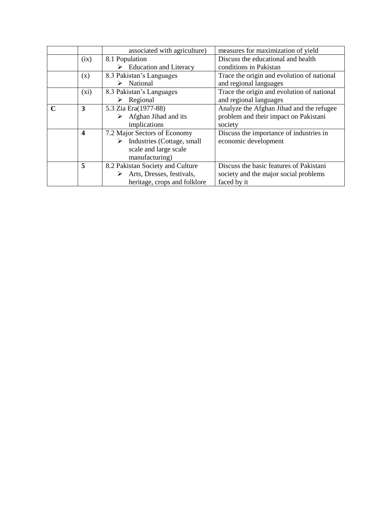|   |                  | associated with agriculture)            | measures for maximization of yield         |  |  |
|---|------------------|-----------------------------------------|--------------------------------------------|--|--|
|   | (ix)             | 8.1 Population                          | Discuss the educational and health         |  |  |
|   |                  | $\triangleright$ Education and Literacy | conditions in Pakistan                     |  |  |
|   | (x)              | 8.3 Pakistan's Languages                | Trace the origin and evolution of national |  |  |
|   |                  | $\triangleright$ National               | and regional languages                     |  |  |
|   | (xi)             | 8.3 Pakistan's Languages                | Trace the origin and evolution of national |  |  |
|   |                  | Regional                                | and regional languages                     |  |  |
| C | 3                | 5.3 Zia Era(1977-88)                    | Analyze the Afghan Jihad and the refugee   |  |  |
|   |                  | Afghan Jihad and its                    | problem and their impact on Pakistani      |  |  |
|   |                  | implications                            | society                                    |  |  |
|   | $\boldsymbol{4}$ | 7.2 Major Sectors of Economy            | Discuss the importance of industries in    |  |  |
|   |                  | Industries (Cottage, small              | economic development                       |  |  |
|   |                  | scale and large scale                   |                                            |  |  |
|   |                  | manufacturing)                          |                                            |  |  |
|   | 5                | 8.2 Pakistan Society and Culture        | Discuss the basic features of Pakistani    |  |  |
|   |                  | Arts, Dresses, festivals,               | society and the major social problems      |  |  |
|   |                  | heritage, crops and folklore            | faced by it                                |  |  |